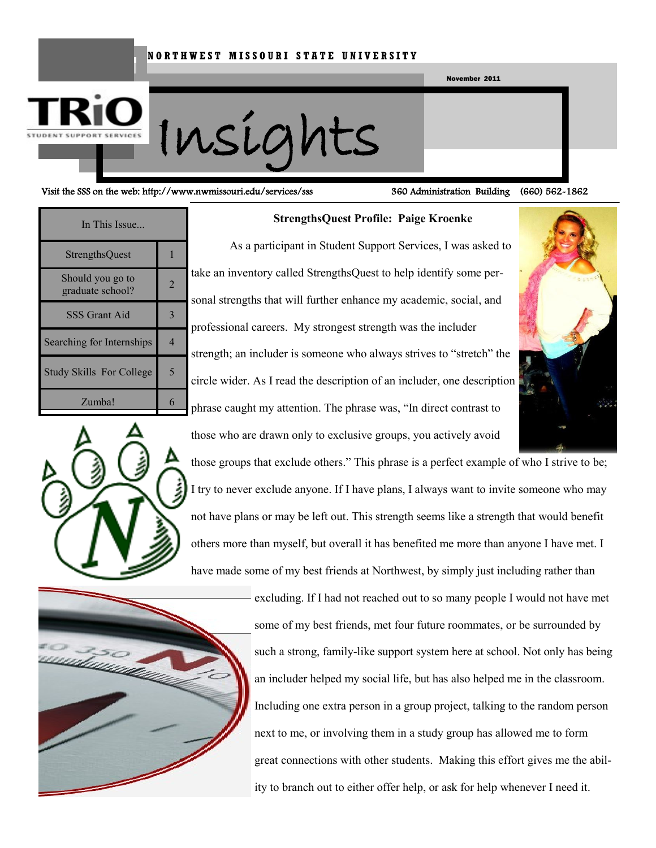#### **N O R T H W E S T M I S S O U R I S T A T E U N I V E R S I T Y**





#### Visit the SSS on the web: http://www.nwmissouri.edu/services/sss 360 Administration Building (660) 562-1862

| In This Issue                        |   |
|--------------------------------------|---|
| <b>StrengthsQuest</b>                |   |
| Should you go to<br>graduate school? | 2 |
| SSS Grant Aid                        |   |
| Searching for Internships            |   |
| <b>Study Skills For College</b>      |   |
| Zumba!                               |   |

#### **StrengthsQuest Profile: Paige Kroenke**

As a participant in Student Support Services, I was asked to take an inventory called StrengthsQuest to help identify some personal strengths that will further enhance my academic, social, and professional careers. My strongest strength was the includer strength; an includer is someone who always strives to "stretch" the circle wider. As I read the description of an includer, one description phrase caught my attention. The phrase was, "In direct contrast to those who are drawn only to exclusive groups, you actively avoid







excluding. If I had not reached out to so many people I would not have met some of my best friends, met four future roommates, or be surrounded by such a strong, family-like support system here at school. Not only has being an includer helped my social life, but has also helped me in the classroom. Including one extra person in a group project, talking to the random person next to me, or involving them in a study group has allowed me to form great connections with other students. Making this effort gives me the ability to branch out to either offer help, or ask for help whenever I need it.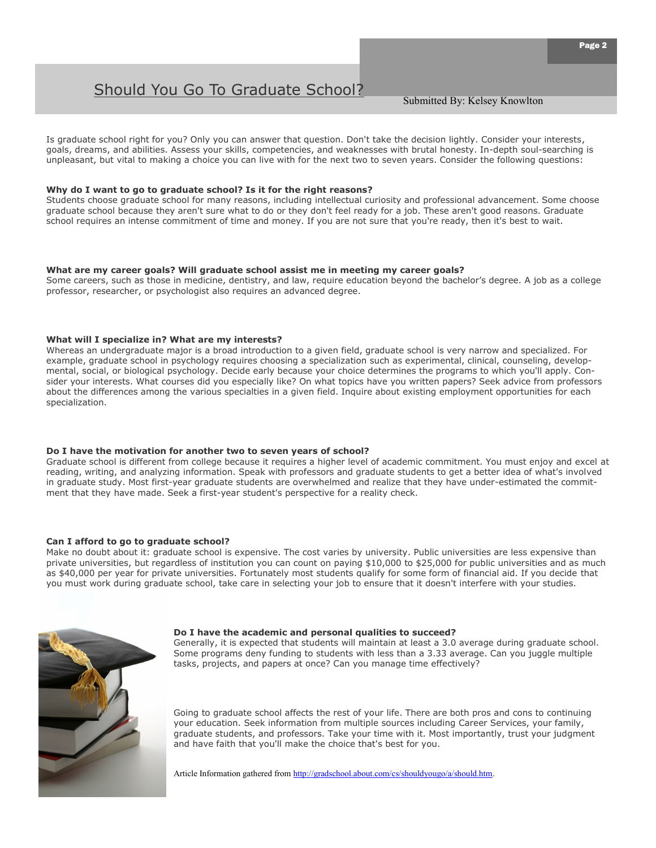### Should You Go To Graduate School?

Is graduate school right for you? Only you can answer that question. Don't take the decision lightly. Consider your interests, goals, dreams, and abilities. Assess your skills, competencies, and weaknesses with brutal honesty. In-depth soul-searching is unpleasant, but vital to making a choice you can live with for the next two to seven years. Consider the following questions:

#### **Why do I want to go to graduate school? Is it for the right reasons?**

Students choose graduate school for many reasons, including intellectual curiosity and professional advancement. Some choose graduate school because they aren't sure what to do or they don't feel ready for a job. These aren't good reasons. Graduate school requires an intense commitment of time and money. If you are not sure that you're ready, then it's best to wait.

#### **What are my career goals? Will graduate school assist me in meeting my career goals?**

Some careers, such as those in medicine, dentistry, and law, require education beyond the bachelor's degree. A job as a college professor, researcher, or psychologist also requires an advanced degree.

#### **What will I specialize in? What are my interests?**

Whereas an undergraduate major is a broad introduction to a given field, graduate school is very narrow and specialized. For example, graduate school in psychology requires choosing a specialization such as experimental, clinical, counseling, developmental, social, or biological psychology. Decide early because your choice determines the programs to which you'll apply. Consider your interests. What courses did you especially like? On what topics have you written papers? Seek advice from professors about the differences among the various specialties in a given field. Inquire about existing employment opportunities for each specialization.

#### **Do I have the motivation for another two to seven years of school?**

Graduate school is different from college because it requires a higher level of academic commitment. You must enjoy and excel at reading, writing, and analyzing information. Speak with professors and graduate students to get a better idea of what's involved in graduate study. Most first-year graduate students are overwhelmed and realize that they have under-estimated the commitment that they have made. Seek a first-year student's perspective for a reality check.

#### **Can I afford to go to graduate school?**

Make no doubt about it: graduate school is expensive. The cost varies by university. Public universities are less expensive than private universities, but regardless of institution you can count on paying \$10,000 to \$25,000 for public universities and as much as \$40,000 per year for private universities. Fortunately most students qualify for some [form of financial aid.](http://gradschool.about.com/od/financialaid/a/typesofaid.htm) If you decide that you must work during graduate school, take care in selecting your job to ensure that it doesn't interfere with your studies.



#### **Do I have the academic and personal qualities to succeed?**

Generally, it is expected that students will maintain at least a 3.0 average during graduate school. Some programs deny funding to students with less than a 3.33 average. Can you juggle multiple tasks, projects, and papers at once? Can you manage time effectively?

Going to graduate school affects the rest of your life. There are both pros and cons to continuing your education. Seek information from multiple sources including Career Services, your family, graduate students, and professors. Take your time with it. Most importantly, trust your judgment and have faith that you'll make the choice that's best for you.

Article Information gathered from [http://gradschool.about.com/cs/shouldyougo/a/should.htm.](http://gradschool.about.com/cs/shouldyougo/a/should.htm)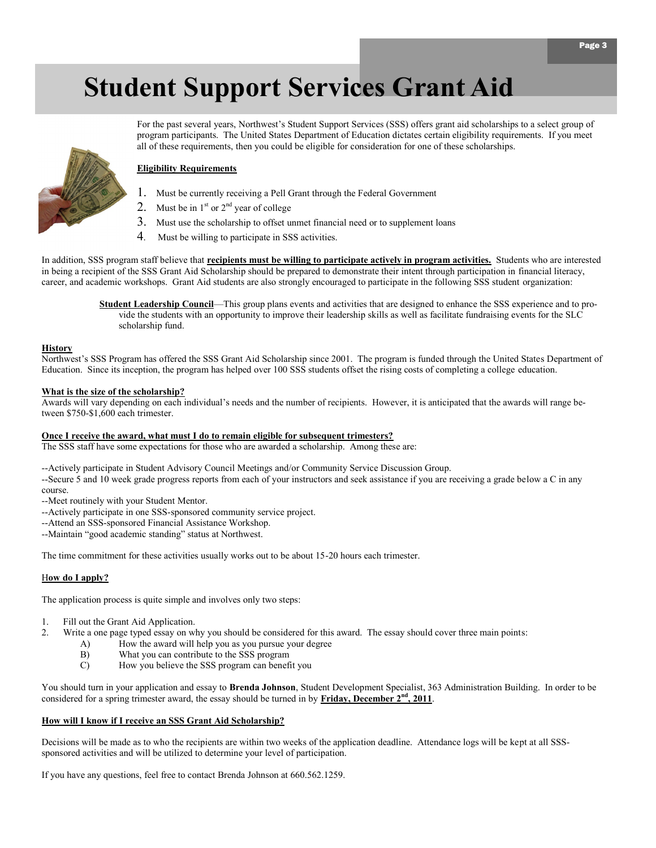# **Student Support Services Grant Aid**



#### **Eligibility Requirements**

- 1. Must be currently receiving a Pell Grant through the Federal Government
- 2. Must be in  $1<sup>st</sup>$  or  $2<sup>nd</sup>$  year of college
- 3. Must use the scholarship to offset unmet financial need or to supplement loans
- 4. Must be willing to participate in SSS activities.

In addition, SSS program staff believe that **recipients must be willing to participate actively in program activities.** Students who are interested in being a recipient of the SSS Grant Aid Scholarship should be prepared to demonstrate their intent through participation in financial literacy, career, and academic workshops. Grant Aid students are also strongly encouraged to participate in the following SSS student organization:

all of these requirements, then you could be eligible for consideration for one of these scholarships.

**Student Leadership Council**—This group plans events and activities that are designed to enhance the SSS experience and to provide the students with an opportunity to improve their leadership skills as well as facilitate fundraising events for the SLC scholarship fund.

For the past several years, Northwest's Student Support Services (SSS) offers grant aid scholarships to a select group of program participants. The United States Department of Education dictates certain eligibility requirements. If you meet

#### **History**

Northwest's SSS Program has offered the SSS Grant Aid Scholarship since 2001. The program is funded through the United States Department of Education. Since its inception, the program has helped over 100 SSS students offset the rising costs of completing a college education.

#### **What is the size of the scholarship?**

Awards will vary depending on each individual's needs and the number of recipients. However, it is anticipated that the awards will range between \$750-\$1,600 each trimester.

#### **Once I receive the award, what must I do to remain eligible for subsequent trimesters?**

The SSS staff have some expectations for those who are awarded a scholarship. Among these are:

--Actively participate in Student Advisory Council Meetings and/or Community Service Discussion Group.

--Secure 5 and 10 week grade progress reports from each of your instructors and seek assistance if you are receiving a grade below a C in any course.

--Meet routinely with your Student Mentor.

- --Actively participate in one SSS-sponsored community service project.
- --Attend an SSS-sponsored Financial Assistance Workshop.
- --Maintain "good academic standing" status at Northwest.

The time commitment for these activities usually works out to be about 15-20 hours each trimester.

#### H**ow do I apply?**

The application process is quite simple and involves only two steps:

- 1. Fill out the Grant Aid Application.
- 2. Write a one page typed essay on why you should be considered for this award. The essay should cover three main points:
	- A) How the award will help you as you pursue your degree
	- B) What you can contribute to the SSS program
	- C) How you believe the SSS program can benefit you

You should turn in your application and essay to **Brenda Johnson**, Student Development Specialist, 363 Administration Building. In order to be considered for a spring trimester award, the essay should be turned in by **Friday, December**  $2<sup>nd</sup>$ **, 2011**.

#### **How will I know if I receive an SSS Grant Aid Scholarship?**

Decisions will be made as to who the recipients are within two weeks of the application deadline. Attendance logs will be kept at all SSSsponsored activities and will be utilized to determine your level of participation.

If you have any questions, feel free to contact Brenda Johnson at 660.562.1259.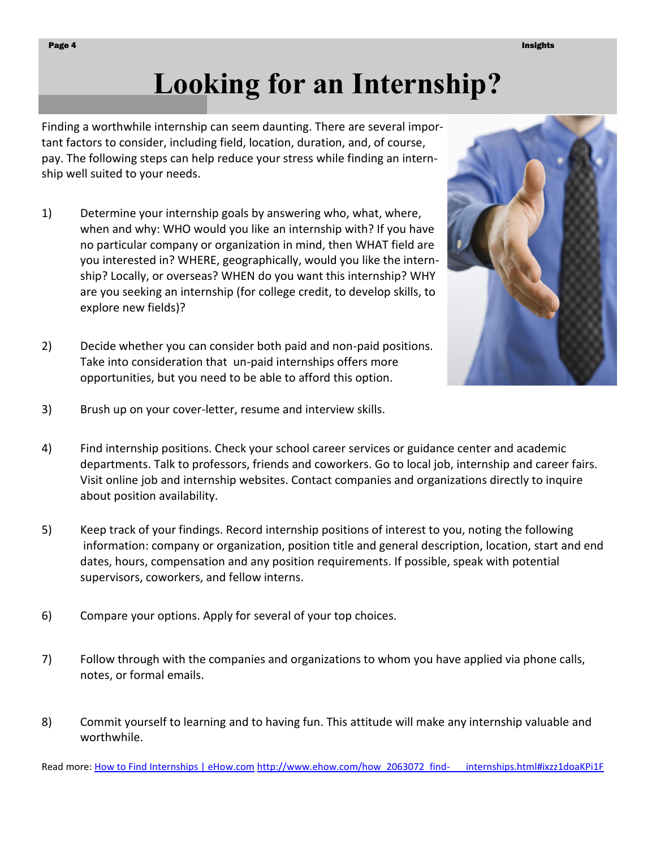# **Looking for an Internship?**

Finding a worthwhile internship can seem daunting. There are several important factors to consider, including field, location, duration, and, of course, pay. The following steps can help reduce your stress while finding an internship well suited to your needs.

- 1) Determine your internship goals by answering who, what, where, when and why: WHO would you like an internship with? If you have no particular company or organization in mind, then WHAT field are you interested in? WHERE, geographically, would you like the internship? Locally, or overseas? WHEN do you want this internship? WHY are you seeking an internship (for college [credit,](http://www.ehow.com/how_2063072_find-internships.html##) to develop skills, to explore new fields)?
- 2) Decide whether you can consider both paid and non-paid positions. Take into consideration that un-paid internships offers more opportunities, but you need to be able to afford this option.



- 3) Brush up on your cover-letter, resume and interview skills.
- 4) Find internship positions. Check your school career services or guidance center and academic departments. Talk to professors, friends and coworkers. Go to local job, internship and [career fairs.](http://www.ehow.com/how_2063072_find-internships.html##)  Visit online job and internship websites. Contact companies and organizations directly to inquire about position availability.
- 5) Keep track of your findings. Record internship positions of interest to you, noting the following information: company or organization, position title and general description, location, start and end dates, hours, compensation and any position requirements. If possible, speak with potential supervisors, coworkers, and fellow interns.
- 6) Compare your options. Apply for several of your top choices.
- 7) Follow through with the companies and organizations to whom you have applied via phone calls, notes, or formal emails.
- 8) Commit yourself to learning and to [having fun.](http://www.ehow.com/how_2063072_find-internships.html##) This attitude will make any internship valuable and worthwhile.

Read more: [How to Find Internships | eHow.com](http://www.ehow.com/how_2063072_find-internships.html#ixzz1doaKPi1F) [http://www.ehow.com/how\\_2063072\\_find-](http://www.ehow.com/how_2063072_find-internships.html#ixzz1doaKPi1F) internships.html#ixzz1doaKPi1F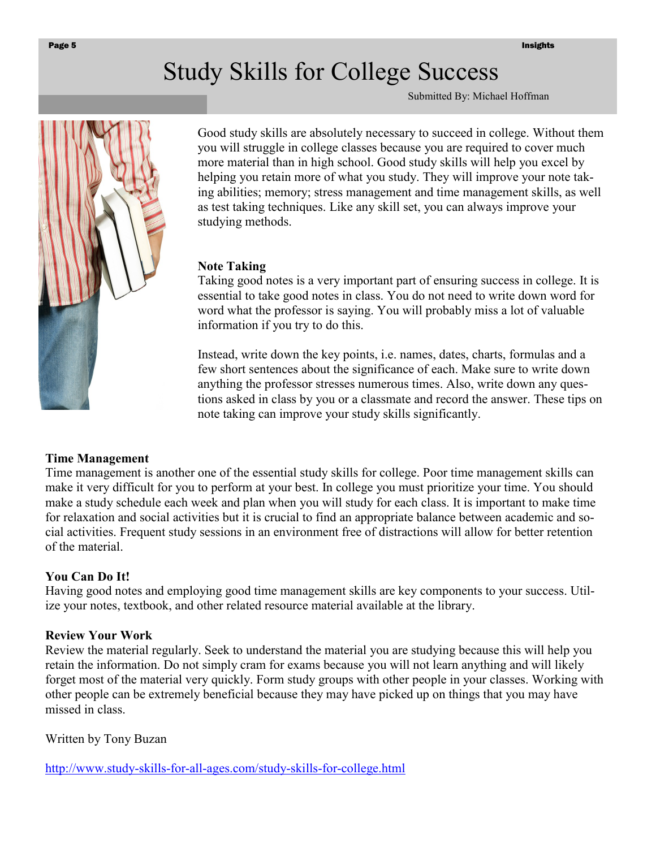## Study Skills for College Success

Submitted By: Michael Hoffman



Good study skills are absolutely necessary to succeed in college. Without them you will struggle in college classes because you are required to cover much more material than in high school. Good study skills will help you excel by helping you retain more of what you study. They will improve your note taking abilities; memory; stress management and time management skills, as well as test taking techniques. Like any skill set, you can always improve your studying methods.

#### **Note Taking**

Taking good notes is a very important part of ensuring success in college. It is essential to take good notes in class. You do not need to write down word for word what the professor is saying. You will probably miss a lot of valuable information if you try to do this.

Instead, write down the key points, i.e. names, dates, charts, formulas and a few short sentences about the significance of each. Make sure to write down anything the professor stresses numerous times. Also, write down any questions asked in class by you or a classmate and record the answer. These tips on note taking can improve your study skills significantly.

#### **Time Management**

Time management is another one of the essential study skills for college. Poor time management skills can make it very difficult for you to perform at your best. In college you must prioritize your time. You should make a study schedule each week and plan when you will study for each class. It is important to make time for relaxation and social activities but it is crucial to find an appropriate balance between academic and social activities. Frequent study sessions in an environment free of distractions will allow for better retention of the material.

#### **You Can Do It!**

Having good notes and employing good time management skills are key components to your success. Utilize your notes, textbook, and other related resource material available at the library.

#### **Review Your Work**

Review the material regularly. Seek to understand the material you are studying because this will help you retain the information. Do not simply cram for exams because you will not learn anything and will likely forget most of the material very quickly. Form study groups with other people in your classes. Working with other people can be extremely beneficial because they may have picked up on things that you may have missed in class.

Written by Tony Buzan

[http://www.study-skills-for-all-ages.com/study-skills-for-college.html](https://sn2prd0302.outlook.com/owa/redir.aspx?C=BadPFWt3-0iDPVlA94Th9kt9qb_4cM4IUxsSd4cbqNWdREEFQddfmyVonIGJSfgMOQm6xh4_YbU.&URL=http%3a%2f%2fwww.study-skills-for-all-ages.com%2fstudy-skills-for-college.html)